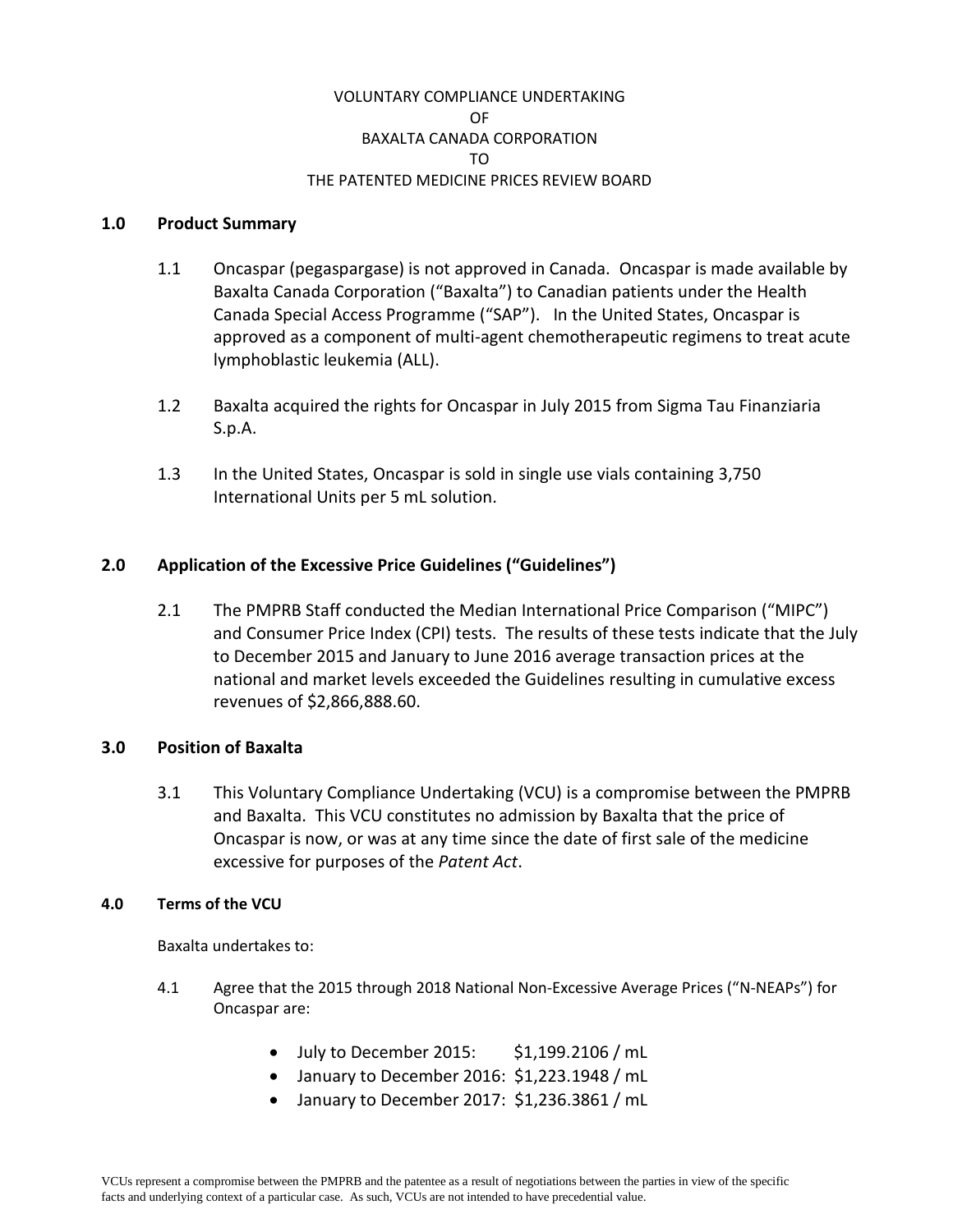## VOLUNTARY COMPLIANCE UNDERTAKING OF BAXALTA CANADA CORPORATION TO THE PATENTED MEDICINE PRICES REVIEW BOARD

#### **1.0 Product Summary**

- 1.1 Oncaspar (pegaspargase) is not approved in Canada. Oncaspar is made available by Baxalta Canada Corporation ("Baxalta") to Canadian patients under the Health Canada Special Access Programme ("SAP"). In the United States, Oncaspar is approved as a component of multi-agent chemotherapeutic regimens to treat acute lymphoblastic leukemia (ALL).
- 1.2 Baxalta acquired the rights for Oncaspar in July 2015 from Sigma Tau Finanziaria S.p.A.
- 1.3 In the United States, Oncaspar is sold in single use vials containing 3,750 International Units per 5 mL solution.

# **2.0 Application of the Excessive Price Guidelines ("Guidelines")**

2.1 The PMPRB Staff conducted the Median International Price Comparison ("MIPC") and Consumer Price Index (CPI) tests. The results of these tests indicate that the July to December 2015 and January to June 2016 average transaction prices at the national and market levels exceeded the Guidelines resulting in cumulative excess revenues of \$2,866,888.60.

## **3.0 Position of Baxalta**

3.1 This Voluntary Compliance Undertaking (VCU) is a compromise between the PMPRB and Baxalta. This VCU constitutes no admission by Baxalta that the price of Oncaspar is now, or was at any time since the date of first sale of the medicine excessive for purposes of the *Patent Act*.

#### **4.0 Terms of the VCU**

Baxalta undertakes to:

- 4.1 Agree that the 2015 through 2018 National Non-Excessive Average Prices ("N-NEAPs") for Oncaspar are:
	- July to December 2015: \$1,199.2106 / mL
	- January to December 2016: \$1,223.1948 / mL
	- January to December 2017: \$1,236.3861 / mL